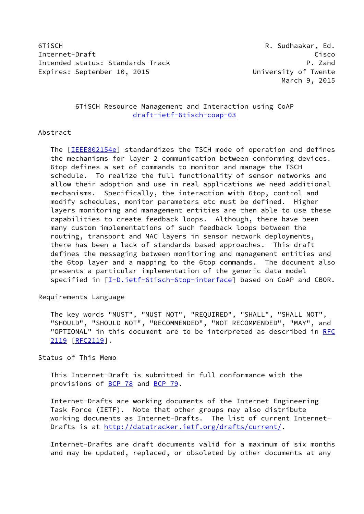6TiSCH R. Sudhaakar, Ed. Internet-Draft Cisco Intended status: Standards Track P. Zand Expires: September 10, 2015 University of Twente

# 6TiSCH Resource Management and Interaction using CoAP [draft-ietf-6tisch-coap-03](https://datatracker.ietf.org/doc/pdf/draft-ietf-6tisch-coap-03)

### Abstract

 The [\[IEEE802154e](#page-17-0)] standardizes the TSCH mode of operation and defines the mechanisms for layer 2 communication between conforming devices. 6top defines a set of commands to monitor and manage the TSCH schedule. To realize the full functionality of sensor networks and allow their adoption and use in real applications we need additional mechanisms. Specifically, the interaction with 6top, control and modify schedules, monitor parameters etc must be defined. Higher layers monitoring and management entities are then able to use these capabilities to create feedback loops. Although, there have been many custom implementations of such feedback loops between the routing, transport and MAC layers in sensor network deployments, there has been a lack of standards based approaches. This draft defines the messaging between monitoring and management entities and the 6top layer and a mapping to the 6top commands. The document also presents a particular implementation of the generic data model specified in [\[I-D.ietf-6tisch-6top-interface](#page-15-0)] based on CoAP and CBOR.

#### Requirements Language

 The key words "MUST", "MUST NOT", "REQUIRED", "SHALL", "SHALL NOT", "SHOULD", "SHOULD NOT", "RECOMMENDED", "NOT RECOMMENDED", "MAY", and "OPTIONAL" in this document are to be interpreted as described in [RFC](https://datatracker.ietf.org/doc/pdf/rfc2119) [2119](https://datatracker.ietf.org/doc/pdf/rfc2119) [\[RFC2119](https://datatracker.ietf.org/doc/pdf/rfc2119)].

### Status of This Memo

 This Internet-Draft is submitted in full conformance with the provisions of [BCP 78](https://datatracker.ietf.org/doc/pdf/bcp78) and [BCP 79](https://datatracker.ietf.org/doc/pdf/bcp79).

 Internet-Drafts are working documents of the Internet Engineering Task Force (IETF). Note that other groups may also distribute working documents as Internet-Drafts. The list of current Internet- Drafts is at<http://datatracker.ietf.org/drafts/current/>.

 Internet-Drafts are draft documents valid for a maximum of six months and may be updated, replaced, or obsoleted by other documents at any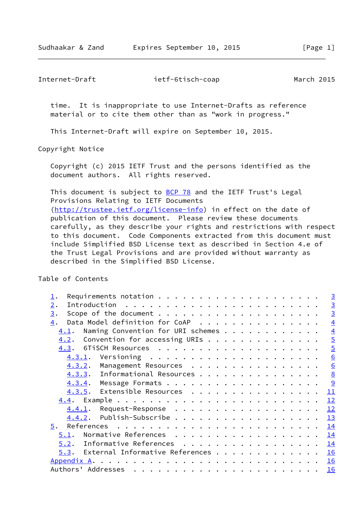Internet-Draft ietf-6tisch-coap March 2015

 time. It is inappropriate to use Internet-Drafts as reference material or to cite them other than as "work in progress."

This Internet-Draft will expire on September 10, 2015.

Copyright Notice

 Copyright (c) 2015 IETF Trust and the persons identified as the document authors. All rights reserved.

This document is subject to **[BCP 78](https://datatracker.ietf.org/doc/pdf/bcp78)** and the IETF Trust's Legal Provisions Relating to IETF Documents [\(http://trustee.ietf.org/license-info](http://trustee.ietf.org/license-info)) in effect on the date of publication of this document. Please review these documents carefully, as they describe your rights and restrictions with respect to this document. Code Components extracted from this document must include Simplified BSD License text as described in Section 4.e of the Trust Legal Provisions and are provided without warranty as described in the Simplified BSD License.

Table of Contents

|                                            | $\overline{3}$   |
|--------------------------------------------|------------------|
| 2.                                         | $\overline{3}$   |
| 3.                                         | $\overline{3}$   |
| Data Model definition for CoAP<br>4.       | $\overline{4}$   |
| Naming Convention for URI schemes<br>4.1.  | $\overline{4}$   |
| 4.2.                                       | $\overline{5}$   |
|                                            | $\overline{5}$   |
| 4.3.1.                                     | $6 \overline{6}$ |
| 4.3.2. Management Resources                | $\underline{6}$  |
| 4.3.3. Informational Resources             | 8                |
|                                            | 9                |
| 4.3.5. Extensible Resources                | 11               |
|                                            | 12               |
| Request-Response<br>4.4.1.                 | 12               |
| Publish-Subscribe<br>4.4.2.                | 13               |
| 5.                                         | 14               |
| Normative References<br>5.1.               | 14               |
| 5.2. Informative References                | 14               |
| $5.3$ . External Informative References 16 |                  |
| Appendix A.                                | 16               |
| Authors' Addresses                         | <b>16</b>        |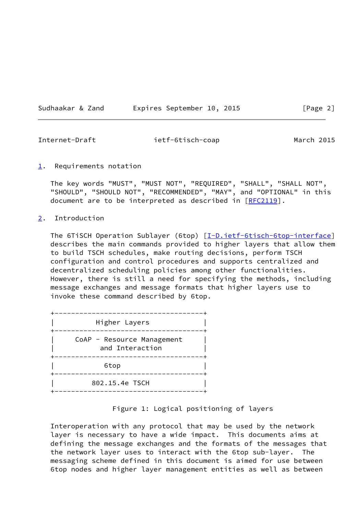Sudhaakar & Zand Expires September 10, 2015 [Page 2]

<span id="page-2-1"></span>Internet-Draft ietf-6tisch-coap March 2015

<span id="page-2-0"></span> $1.$  $1.$  Requirements notation

 The key words "MUST", "MUST NOT", "REQUIRED", "SHALL", "SHALL NOT", "SHOULD", "SHOULD NOT", "RECOMMENDED", "MAY", and "OPTIONAL" in this document are to be interpreted as described in [\[RFC2119](https://datatracker.ietf.org/doc/pdf/rfc2119)].

#### <span id="page-2-2"></span>[2](#page-2-2). Introduction

The 6TiSCH Operation Sublayer (6top) [\[I-D.ietf-6tisch-6top-interface](#page-15-0)] describes the main commands provided to higher layers that allow them to build TSCH schedules, make routing decisions, perform TSCH configuration and control procedures and supports centralized and decentralized scheduling policies among other functionalities. However, there is still a need for specifying the methods, including message exchanges and message formats that higher layers use to invoke these command described by 6top.

| Higher Layers                                                 |
|---------------------------------------------------------------|
| CoAP - Resource Management<br>and Interaction<br>------------ |
| 6top                                                          |
| 802.15.4e TSCH                                                |

## Figure 1: Logical positioning of layers

 Interoperation with any protocol that may be used by the network layer is necessary to have a wide impact. This documents aims at defining the message exchanges and the formats of the messages that the network layer uses to interact with the 6top sub-layer. The messaging scheme defined in this document is aimed for use between 6top nodes and higher layer management entities as well as between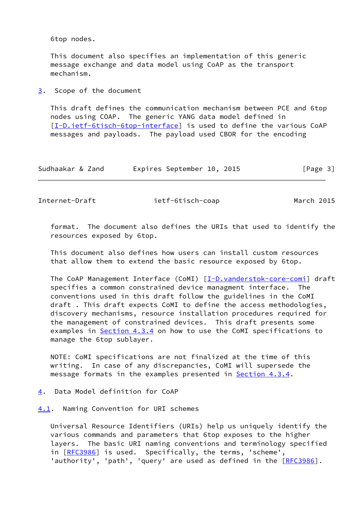6top nodes.

 This document also specifies an implementation of this generic message exchange and data model using CoAP as the transport mechanism.

<span id="page-3-0"></span>[3](#page-3-0). Scope of the document

 This draft defines the communication mechanism between PCE and 6top nodes using COAP. The generic YANG data model defined in [\[I-D.ietf-6tisch-6top-interface](#page-15-0)] is used to define the various CoAP messages and payloads. The payload used CBOR for the encoding

| Sudhaakar & Zand |  | Expires September 10, 2015 |  |  | [Page 3] |  |  |  |
|------------------|--|----------------------------|--|--|----------|--|--|--|
|------------------|--|----------------------------|--|--|----------|--|--|--|

<span id="page-3-2"></span>Internet-Draft ietf-6tisch-coap March 2015

 format. The document also defines the URIs that used to identify the resources exposed by 6top.

 This document also defines how users can install custom resources that allow them to extend the basic resource exposed by 6top.

The CoAP Management Interface (CoMI) [\[I-D.vanderstok-core-comi](#page-16-0)] draft specifies a common constrained device managment interface. The conventions used in this draft follow the guidelines in the CoMI draft . This draft expects CoMI to define the access methodologies, discovery mechanisms, resource installation procedures required for the management of constrained devices. This draft presents some examples in [Section 4.3.4](#page-9-0) on how to use the CoMI specifications to manage the 6top sublayer.

 NOTE: CoMI specifications are not finalized at the time of this writing. In case of any discrepancies, CoMI will supersede the message formats in the examples presented in **Section 4.3.4**.

<span id="page-3-1"></span>[4](#page-3-1). Data Model definition for CoAP

<span id="page-3-3"></span>[4.1](#page-3-3). Naming Convention for URI schemes

 Universal Resource Identifiers (URIs) help us uniquely identify the various commands and parameters that 6top exposes to the higher layers. The basic URI naming conventions and terminology specified in [[RFC3986\]](https://datatracker.ietf.org/doc/pdf/rfc3986) is used. Specifically, the terms, 'scheme', 'authority', 'path', 'query' are used as defined in the [\[RFC3986](https://datatracker.ietf.org/doc/pdf/rfc3986)].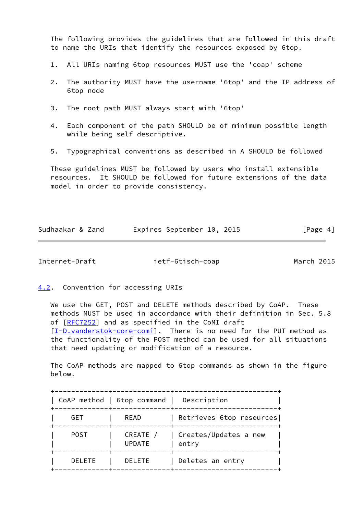The following provides the guidelines that are followed in this draft to name the URIs that identify the resources exposed by 6top.

- 1. All URIs naming 6top resources MUST use the 'coap' scheme
- 2. The authority MUST have the username '6top' and the IP address of 6top node
- 3. The root path MUST always start with '6top'
- 4. Each component of the path SHOULD be of minimum possible length while being self descriptive.
- 5. Typographical conventions as described in A SHOULD be followed

 These guidelines MUST be followed by users who install extensible resources. It SHOULD be followed for future extensions of the data model in order to provide consistency.

| Sudhaakar & Zand |  |  | Expires September 10, 2015 |  | [Page 4] |  |
|------------------|--|--|----------------------------|--|----------|--|
|                  |  |  |                            |  |          |  |

<span id="page-4-1"></span>Internet-Draft ietf-6tisch-coap March 2015

<span id="page-4-0"></span>[4.2](#page-4-0). Convention for accessing URIs

 We use the GET, POST and DELETE methods described by CoAP. These methods MUST be used in accordance with their definition in Sec. 5.8 of [[RFC7252\]](https://datatracker.ietf.org/doc/pdf/rfc7252) and as specified in the CoMI draft [\[I-D.vanderstok-core-comi](#page-16-0)]. There is no need for the PUT method as the functionality of the POST method can be used for all situations that need updating or modification of a resource.

 The CoAP methods are mapped to 6top commands as shown in the figure below.

|               | CoAP method   6top command | Description                    |
|---------------|----------------------------|--------------------------------|
| GET           | READ                       | Retrieves 6top resources       |
| <b>POST</b>   | CREATE /<br><b>UPDATE</b>  | Creates/Updates a new<br>entry |
| <b>DELETE</b> | <b>DELETE</b>              | Deletes an entry               |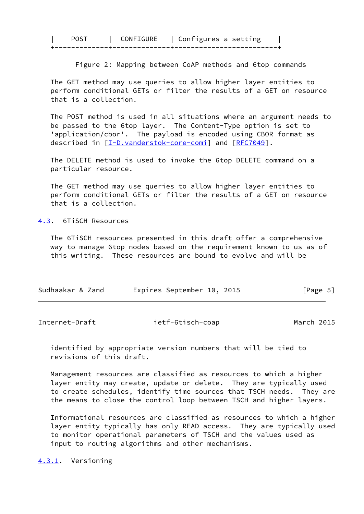| <b>ONFTGURE</b> | ∣ Configures a setting |
|-----------------|------------------------|
|                 |                        |
|                 |                        |

Figure 2: Mapping between CoAP methods and 6top commands

 The GET method may use queries to allow higher layer entities to perform conditional GETs or filter the results of a GET on resource that is a collection.

 The POST method is used in all situations where an argument needs to be passed to the 6top layer. The Content-Type option is set to 'application/cbor'. The payload is encoded using CBOR format as described in [\[I-D.vanderstok-core-comi](#page-16-0)] and [\[RFC7049](https://datatracker.ietf.org/doc/pdf/rfc7049)].

 The DELETE method is used to invoke the 6top DELETE command on a particular resource.

 The GET method may use queries to allow higher layer entities to perform conditional GETs or filter the results of a GET on resource that is a collection.

<span id="page-5-0"></span>[4.3](#page-5-0). 6TiSCH Resources

 The 6TiSCH resources presented in this draft offer a comprehensive way to manage 6top nodes based on the requirement known to us as of this writing. These resources are bound to evolve and will be

| Sudhaakar & Zand | Expires September 10, 2015 | [Page 5] |
|------------------|----------------------------|----------|
|------------------|----------------------------|----------|

<span id="page-5-2"></span>

| Internet-Draft | ietf-6tisch-coap | March 2015 |
|----------------|------------------|------------|
|                |                  |            |

 identified by appropriate version numbers that will be tied to revisions of this draft.

 Management resources are classified as resources to which a higher layer entity may create, update or delete. They are typically used to create schedules, identify time sources that TSCH needs. They are the means to close the control loop between TSCH and higher layers.

 Informational resources are classified as resources to which a higher layer entity typically has only READ access. They are typically used to monitor operational parameters of TSCH and the values used as input to routing algorithms and other mechanisms.

<span id="page-5-1"></span>[4.3.1](#page-5-1). Versioning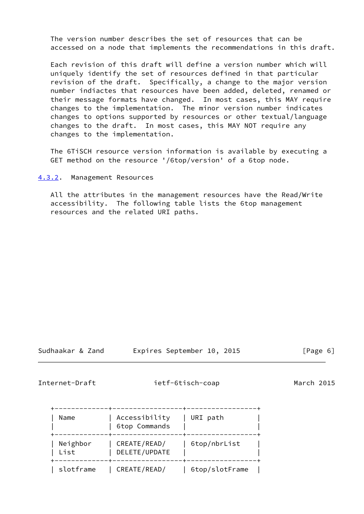The version number describes the set of resources that can be accessed on a node that implements the recommendations in this draft.

 Each revision of this draft will define a version number which will uniquely identify the set of resources defined in that particular revision of the draft. Specifically, a change to the major version number indiactes that resources have been added, deleted, renamed or their message formats have changed. In most cases, this MAY require changes to the implementation. The minor version number indicates changes to options supported by resources or other textual/language changes to the draft. In most cases, this MAY NOT require any changes to the implementation.

 The 6TiSCH resource version information is available by executing a GET method on the resource '/6top/version' of a 6top node.

<span id="page-6-0"></span>[4.3.2](#page-6-0). Management Resources

 All the attributes in the management resources have the Read/Write accessibility. The following table lists the 6top management resources and the related URI paths.

Sudhaakar & Zand Expires September 10, 2015 [Page 6]

Internet-Draft ietf-6tisch-coap March 2015

| Name             | Accessibility<br>6top Commands | URI path       |
|------------------|--------------------------------|----------------|
| Neighbor<br>List | CREATE/READ/<br>DELETE/UPDATE  | 6top/nbrList   |
| slotframe        | CREATE/READ/                   | 6top/slotFrame |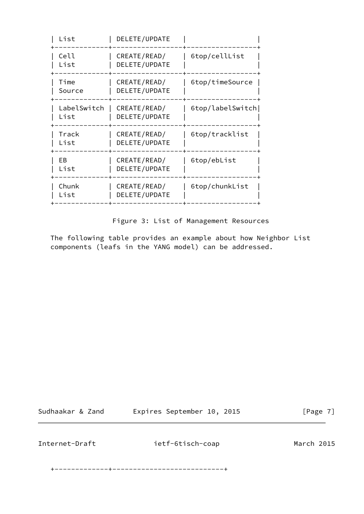| List                | DELETE/UPDATE                 |                  |
|---------------------|-------------------------------|------------------|
| Cell<br>List        | CREATE/READ/<br>DELETE/UPDATE | 6top/cellList    |
| Time<br>Source      | CREATE/READ/<br>DELETE/UPDATE | 6top/timeSource  |
| LabelSwitch<br>List | CREATE/READ/<br>DELETE/UPDATE | 6top/labelSwitch |
| Track<br>List       | CREATE/READ/<br>DELETE/UPDATE | 6top/tracklist   |
| EB.<br>List         | CREATE/READ/<br>DELETE/UPDATE | 6top/ebList      |
| Chunk<br>List       | CREATE/READ/<br>DELETE/UPDATE | 6top/chunkList   |
|                     |                               |                  |

Figure 3: List of Management Resources

 The following table provides an example about how Neighbor List components (leafs in the YANG model) can be addressed.

Sudhaakar & Zand Expires September 10, 2015 [Page 7]

<span id="page-7-0"></span>Internet-Draft ietf-6tisch-coap March 2015

+-------------+---------------------------+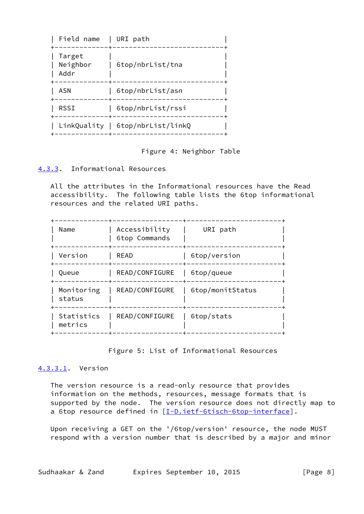| Field name                 | URI path                         |
|----------------------------|----------------------------------|
| Target<br>Neighbor<br>Addr | 6top/nbrList/tna                 |
| ASN                        | 6top/nbrList/asn                 |
| RSSI                       | 6top/nbrList/rssi                |
|                            | LinkQuality   6top/nbrList/linkQ |

Figure 4: Neighbor Table

# <span id="page-8-0"></span>[4.3.3](#page-8-0). Informational Resources

 All the attributes in the Informational resources have the Read accessibility. The following table lists the 6top informational resources and the related URI paths.

| Name                  | Accessibility<br>6top Commands | URI path         |
|-----------------------|--------------------------------|------------------|
| Version               | READ                           | 6top/version     |
| Queue                 | READ/CONFIGURE                 | 6top/queue       |
| Monitoring<br>status  | READ/CONFIGURE                 | 6top/monitStatus |
| Statistics<br>metrics | READ/CONFIGURE                 | 6top/stats       |

### Figure 5: List of Informational Resources

### <span id="page-8-1"></span>[4.3.3.1](#page-8-1). Version

 The version resource is a read-only resource that provides information on the methods, resources, message formats that is supported by the node. The version resource does not directly map to a 6top resource defined in [[I-D.ietf-6tisch-6top-interface](#page-15-0)].

 Upon receiving a GET on the '/6top/version' resource, the node MUST respond with a version number that is described by a major and minor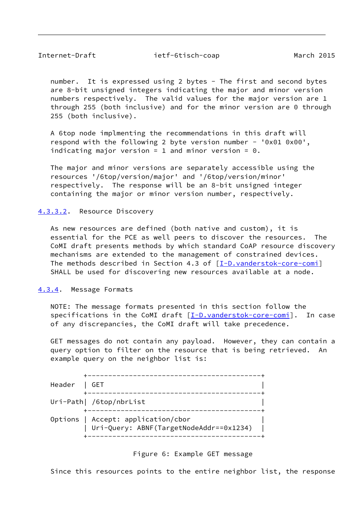<span id="page-9-1"></span>Internet-Draft ietf-6tisch-coap March 2015

 number. It is expressed using 2 bytes - The first and second bytes are 8-bit unsigned integers indicating the major and minor version numbers respectively. The valid values for the major version are 1 through 255 (both inclusive) and for the minor version are 0 through 255 (both inclusive).

 A 6top node implmenting the recommendations in this draft will respond with the following 2 byte version number - '0x01 0x00', indicating major version = 1 and minor version =  $0$ .

 The major and minor versions are separately accessible using the resources '/6top/version/major' and '/6top/version/minor' respectively. The response will be an 8-bit unsigned integer containing the major or minor version number, respectively.

### <span id="page-9-2"></span>[4.3.3.2](#page-9-2). Resource Discovery

 As new resources are defined (both native and custom), it is essential for the PCE as well peers to discover the resources. The CoMI draft presents methods by which standard CoAP resource discovery mechanisms are extended to the management of constrained devices. The methods described in Section 4.3 of [\[I-D.vanderstok-core-comi](#page-16-0)] SHALL be used for discovering new resources available at a node.

#### <span id="page-9-0"></span>[4.3.4](#page-9-0). Message Formats

 NOTE: The message formats presented in this section follow the specifications in the CoMI draft [\[I-D.vanderstok-core-comi](#page-16-0)]. In case of any discrepancies, the CoMI draft will take precedence.

 GET messages do not contain any payload. However, they can contain a query option to filter on the resource that is being retrieved. An example query on the neighbor list is:

| Header   GET |                                                                                 |  |
|--------------|---------------------------------------------------------------------------------|--|
|              | Uri-Path  /6top/nbrList                                                         |  |
|              | Options   Accept: application/cbor<br>  Uri-Query: ABNF(TargetNodeAddr==0x1234) |  |

Figure 6: Example GET message

Since this resources points to the entire neighbor list, the response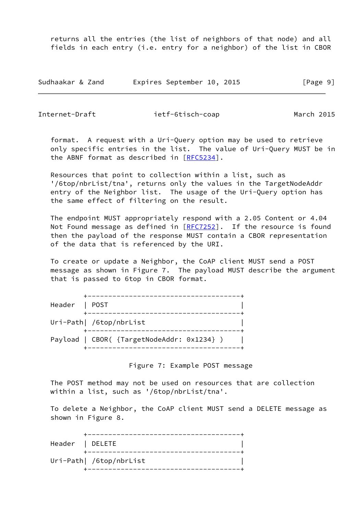returns all the entries (the list of neighbors of that node) and all fields in each entry (i.e. entry for a neighbor) of the list in CBOR

| Sudhaakar & Zand | Expires September 10, 2015 | [Page 9] |
|------------------|----------------------------|----------|
|------------------|----------------------------|----------|

Internet-Draft ietf-6tisch-coap March 2015

 format. A request with a Uri-Query option may be used to retrieve only specific entries in the list. The value of Uri-Query MUST be in the ABNF format as described in [\[RFC5234](https://datatracker.ietf.org/doc/pdf/rfc5234)].

 Resources that point to collection within a list, such as '/6top/nbrList/tna', returns only the values in the TargetNodeAddr entry of the Neighbor list. The usage of the Uri-Query option has the same effect of filtering on the result.

 The endpoint MUST appropriately respond with a 2.05 Content or 4.04 Not Found message as defined in  $[RFC7252]$  $[RFC7252]$ . If the resource is found then the payload of the response MUST contain a CBOR representation of the data that is referenced by the URI.

 To create or update a Neighbor, the CoAP client MUST send a POST message as shown in Figure 7. The payload MUST describe the argument that is passed to 6top in CBOR format.

| Header   POST |                                            |  |
|---------------|--------------------------------------------|--|
|               | Uri-Path  /6top/nbrList                    |  |
|               | Payload   CBOR( {TargetNodeAddr: 0x1234} ) |  |

Figure 7: Example POST message

 The POST method may not be used on resources that are collection within a list, such as '/6top/nbrList/tna'.

 To delete a Neighbor, the CoAP client MUST send a DELETE message as shown in Figure 8.

|                 | ---------------------------- |  |
|-----------------|------------------------------|--|
| Header   DELETE |                              |  |
|                 | Uri-Path  /6top/nbrList      |  |
|                 |                              |  |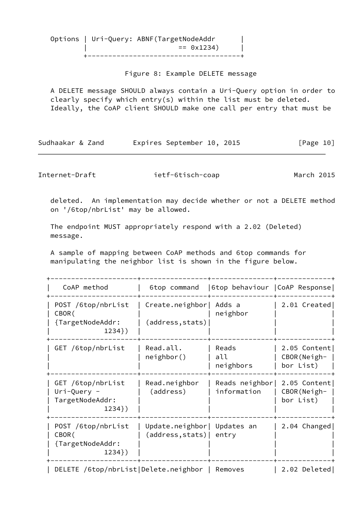Options | Uri-Query: ABNF(TargetNodeAddr |  $= 0x1234$  | +-------------------------------------+

Figure 8: Example DELETE message

 A DELETE message SHOULD always contain a Uri-Query option in order to clearly specify which entry(s) within the list must be deleted. Ideally, the CoAP client SHOULD make one call per entry that must be

Sudhaakar & Zand Expires September 10, 2015 [Page 10]

<span id="page-11-0"></span>Internet-Draft ietf-6tisch-coap March 2015

 deleted. An implementation may decide whether or not a DELETE method on '/6top/nbrList' may be allowed.

 The endpoint MUST appropriately respond with a 2.02 (Deleted) message.

 A sample of mapping between CoAP methods and 6top commands for manipulating the neighbor list is shown in the figure below.

+---------------------+----------------+---------------+-------------+

| CoAP method                                                         | 6top command                                     | 6top behaviour   CoAP Response |                                            |
|---------------------------------------------------------------------|--------------------------------------------------|--------------------------------|--------------------------------------------|
| POST /6top/nbrList<br>CBOR (<br>{TargetNodeAddr:<br>$1234$ })       | Create.neighbor<br>(address, stats)              | Adds a<br>neighbor             | 2.01 Created                               |
| GET /6top/nbrList                                                   | Read.all.<br>neighbour()                         | Reads<br>all<br>neighbors      | 2.05 Content<br>CBOR(Neigh-<br>bor List)   |
| GET /6top/nbrList<br>$Uri$ -Query -<br>TargetNodeAddr:<br>$1234$ }) | Read.neighbor<br>(address)                       | Reads neighbor<br>information  | 2.05 Content<br>$CBOR(Neigh-$<br>bor List) |
| POST /6top/nbrList<br>CBOR (<br>{TargetNodeAddr:<br>$1234$ })       | Update.neighbor   Updates an<br>(address, stats) | entry                          | 2.04 Changed                               |
| DELETE /6top/nbrList Delete.neighbor                                |                                                  | Removes                        | 2.02 Deleted                               |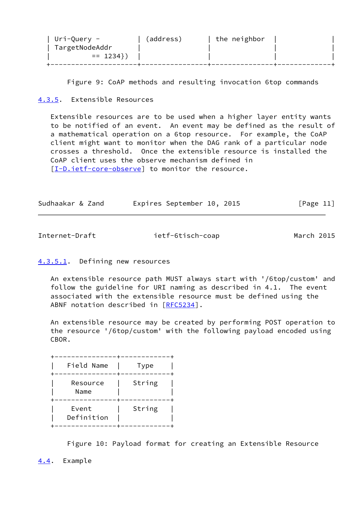| Uri-Query -    | (address) | the neighbor |  |
|----------------|-----------|--------------|--|
| TargetNodeAddr |           |              |  |
| $= 1234$ }     |           |              |  |
|                |           |              |  |

Figure 9: CoAP methods and resulting invocation 6top commands

# <span id="page-12-0"></span>[4.3.5](#page-12-0). Extensible Resources

 Extensible resources are to be used when a higher layer entity wants to be notified of an event. An event may be defined as the result of a mathematical operation on a 6top resource. For example, the CoAP client might want to monitor when the DAG rank of a particular node crosses a threshold. Once the extensible resource is installed the CoAP client uses the observe mechanism defined in [\[I-D.ietf-core-observe](#page-16-1)] to monitor the resource.

| Sudhaakar & Zand |  | Expires September 10, 2015 |  |  | [Page 11] |
|------------------|--|----------------------------|--|--|-----------|
|------------------|--|----------------------------|--|--|-----------|

<span id="page-12-2"></span>Internet-Draft ietf-6tisch-coap March 2015

# <span id="page-12-3"></span>[4.3.5.1](#page-12-3). Defining new resources

 An extensible resource path MUST always start with '/6top/custom' and follow the guideline for URI naming as described in 4.1. The event associated with the extensible resource must be defined using the ABNF notation described in [[RFC5234\]](https://datatracker.ietf.org/doc/pdf/rfc5234).

 An extensible resource may be created by performing POST operation to the resource '/6top/custom' with the following payload encoded using CBOR.

| Field Name          | Type   |
|---------------------|--------|
| Resource<br>Name    | String |
| Event<br>Definition | String |

Figure 10: Payload format for creating an Extensible Resource

<span id="page-12-1"></span>[4.4](#page-12-1). Example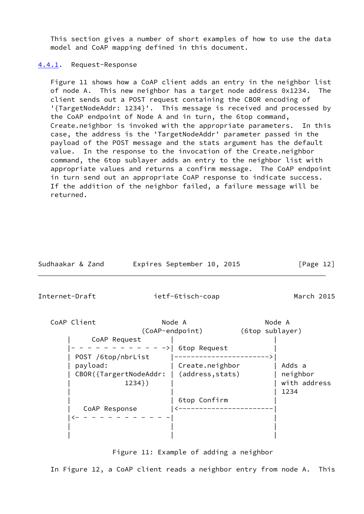This section gives a number of short examples of how to use the data model and CoAP mapping defined in this document.

#### <span id="page-13-0"></span>[4.4.1](#page-13-0). Request-Response

 Figure 11 shows how a CoAP client adds an entry in the neighbor list of node A. This new neighbor has a target node address 0x1234. The client sends out a POST request containing the CBOR encoding of '{TargetNodeAddr: 1234}'. This message is received and processed by the CoAP endpoint of Node A and in turn, the 6top command, Create.neighbor is invoked with the appropriate parameters. In this case, the address is the 'TargetNodeAddr' parameter passed in the payload of the POST message and the stats argument has the default value. In the response to the invocation of the Create.neighbor command, the 6top sublayer adds an entry to the neighbor list with appropriate values and returns a confirm message. The CoAP endpoint in turn send out an appropriate CoAP response to indicate success. If the addition of the neighbor failed, a failure message will be returned.

| Sudhaakar & Zand |  | Expires September 10, 2015 |  |  | [Page 12] |  |
|------------------|--|----------------------------|--|--|-----------|--|
|------------------|--|----------------------------|--|--|-----------|--|

<span id="page-13-1"></span>Internet-Draft ietf-6tisch-coap March 2015

CoAP Client **Node A** Node A Node A (CoAP-endpoint) (6top sublayer) | CoAP Request | | |- - - - - - - - - - - ->| 6top Request | | POST /6top/nbrList |----------------------->| | payload: | Create.neighbor | Adds a | CBOR({TargertNodeAddr: | (address,stats) | neighbor | 1234}) | | with address | | | 1234 | | 6top Confirm | | CoAP Response |<-----------------------|  $|x- - - - - - - - - - -|$  | | | | | |

Figure 11: Example of adding a neighbor

In Figure 12, a CoAP client reads a neighbor entry from node A. This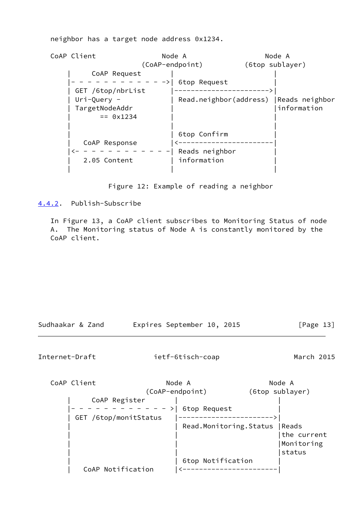neighbor has a target node address 0x1234.

CoAP Client **Node A** Node A Node A (CoAP-endpoint) (6top sublayer) | CoAP Request | | |- - - - - - - - - - - ->| 6top Request | | GET /6top/nbrList |----------------------->| | Uri-Query - | Read.neighbor(address) |Reads neighbor | TargetNodeAddr | |information  $= 0x1234$  | | | | | 6top Confirm | | CoAP Response |<-----------------------|  $\leftarrow$  - - - - - - - - - - | Reads neighbor 2.05 Content | information | | |

Figure 12: Example of reading a neighbor

<span id="page-14-0"></span>[4.4.2](#page-14-0). Publish-Subscribe

 In Figure 13, a CoAP client subscribes to Monitoring Status of node A. The Monitoring status of Node A is constantly monitored by the CoAP client.

| Sudhaakar & Zand | Expires September 10, 2015 | [Page 13] |
|------------------|----------------------------|-----------|
|------------------|----------------------------|-----------|

<span id="page-14-1"></span>Internet-Draft ietf-6tisch-coap March 2015

CoAP Client **Node A** Node A Node A (CoAP-endpoint) (6top sublayer) | CoAP Register | | |- - - - - - - - - - - - >| 6top Request | | GET /6top/monitStatus |----------------------->| | Read.Monitoring.Status | Reads | | |the current |Monitoring | | |status | | 6top Notification | | CoAP Notification |<-----------------------|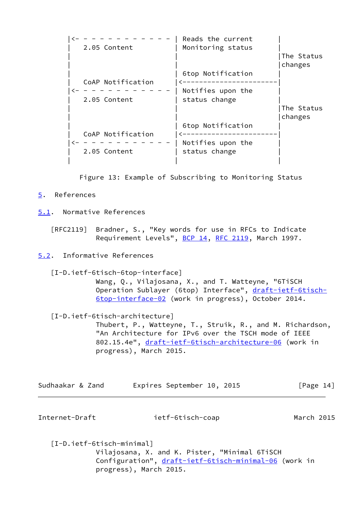|                   | Reads the current |            |
|-------------------|-------------------|------------|
| 2.05 Content      | Monitoring status | The Status |
|                   |                   | changes    |
|                   | 6top Notification |            |
| CoAP Notification |                   |            |
|                   | Notifies upon the |            |
| 2.05 Content      | status change     |            |
|                   |                   | The Status |
|                   |                   | changes    |
|                   | 6top Notification |            |
| CoAP Notification |                   |            |
|                   | Notifies upon the |            |
| 2.05 Content      | status change     |            |
|                   |                   |            |

Figure 13: Example of Subscribing to Monitoring Status

<span id="page-15-1"></span>[5](#page-15-1). References

<span id="page-15-2"></span>[5.1](#page-15-2). Normative References

 [RFC2119] Bradner, S., "Key words for use in RFCs to Indicate Requirement Levels", [BCP 14](https://datatracker.ietf.org/doc/pdf/bcp14), [RFC 2119](https://datatracker.ietf.org/doc/pdf/rfc2119), March 1997.

<span id="page-15-3"></span>[5.2](#page-15-3). Informative References

<span id="page-15-0"></span> [I-D.ietf-6tisch-6top-interface] Wang, Q., Vilajosana, X., and T. Watteyne, "6TiSCH Operation Sublayer (6top) Interface", [draft-ietf-6tisch-](https://datatracker.ietf.org/doc/pdf/draft-ietf-6tisch-6top-interface-02)

[6top-interface-02](https://datatracker.ietf.org/doc/pdf/draft-ietf-6tisch-6top-interface-02) (work in progress), October 2014.

[I-D.ietf-6tisch-architecture]

 Thubert, P., Watteyne, T., Struik, R., and M. Richardson, "An Architecture for IPv6 over the TSCH mode of IEEE 802.15.4e", [draft-ietf-6tisch-architecture-06](https://datatracker.ietf.org/doc/pdf/draft-ietf-6tisch-architecture-06) (work in progress), March 2015.

| Sudhaakar & Zand |  | Expires September 10, 2015 |  |  | [Page 14] |  |
|------------------|--|----------------------------|--|--|-----------|--|
|------------------|--|----------------------------|--|--|-----------|--|

Internet-Draft ietf-6tisch-coap March 2015

 [I-D.ietf-6tisch-minimal] Vilajosana, X. and K. Pister, "Minimal 6TiSCH Configuration", [draft-ietf-6tisch-minimal-06](https://datatracker.ietf.org/doc/pdf/draft-ietf-6tisch-minimal-06) (work in progress), March 2015.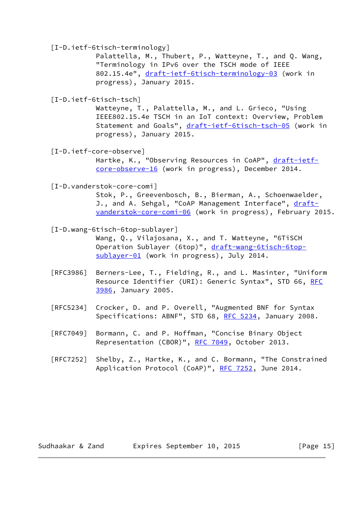[I-D.ietf-6tisch-terminology]

 Palattella, M., Thubert, P., Watteyne, T., and Q. Wang, "Terminology in IPv6 over the TSCH mode of IEEE 802.15.4e", [draft-ietf-6tisch-terminology-03](https://datatracker.ietf.org/doc/pdf/draft-ietf-6tisch-terminology-03) (work in progress), January 2015.

[I-D.ietf-6tisch-tsch]

 Watteyne, T., Palattella, M., and L. Grieco, "Using IEEE802.15.4e TSCH in an IoT context: Overview, Problem Statement and Goals", [draft-ietf-6tisch-tsch-05](https://datatracker.ietf.org/doc/pdf/draft-ietf-6tisch-tsch-05) (work in progress), January 2015.

<span id="page-16-1"></span>[I-D.ietf-core-observe]

Hartke, K., "Observing Resources in CoAP", [draft-ietf](https://datatracker.ietf.org/doc/pdf/draft-ietf-core-observe-16) [core-observe-16](https://datatracker.ietf.org/doc/pdf/draft-ietf-core-observe-16) (work in progress), December 2014.

<span id="page-16-0"></span>[I-D.vanderstok-core-comi]

 Stok, P., Greevenbosch, B., Bierman, A., Schoenwaelder, J., and A. Sehgal, "CoAP Management Interface", [draft](https://datatracker.ietf.org/doc/pdf/draft-vanderstok-core-comi-06) [vanderstok-core-comi-06](https://datatracker.ietf.org/doc/pdf/draft-vanderstok-core-comi-06) (work in progress), February 2015.

 [I-D.wang-6tisch-6top-sublayer] Wang, Q., Vilajosana, X., and T. Watteyne, "6TiSCH Operation Sublayer (6top)", [draft-wang-6tisch-6top](https://datatracker.ietf.org/doc/pdf/draft-wang-6tisch-6top-sublayer-01) [sublayer-01](https://datatracker.ietf.org/doc/pdf/draft-wang-6tisch-6top-sublayer-01) (work in progress), July 2014.

- [RFC3986] Berners-Lee, T., Fielding, R., and L. Masinter, "Uniform Resource Identifier (URI): Generic Syntax", STD 66, [RFC](https://datatracker.ietf.org/doc/pdf/rfc3986) [3986,](https://datatracker.ietf.org/doc/pdf/rfc3986) January 2005.
- [RFC5234] Crocker, D. and P. Overell, "Augmented BNF for Syntax Specifications: ABNF", STD 68, [RFC 5234](https://datatracker.ietf.org/doc/pdf/rfc5234), January 2008.
- [RFC7049] Bormann, C. and P. Hoffman, "Concise Binary Object Representation (CBOR)", [RFC 7049,](https://datatracker.ietf.org/doc/pdf/rfc7049) October 2013.
- [RFC7252] Shelby, Z., Hartke, K., and C. Bormann, "The Constrained Application Protocol (CoAP)", [RFC 7252](https://datatracker.ietf.org/doc/pdf/rfc7252), June 2014.

Sudhaakar & Zand Expires September 10, 2015 [Page 15]